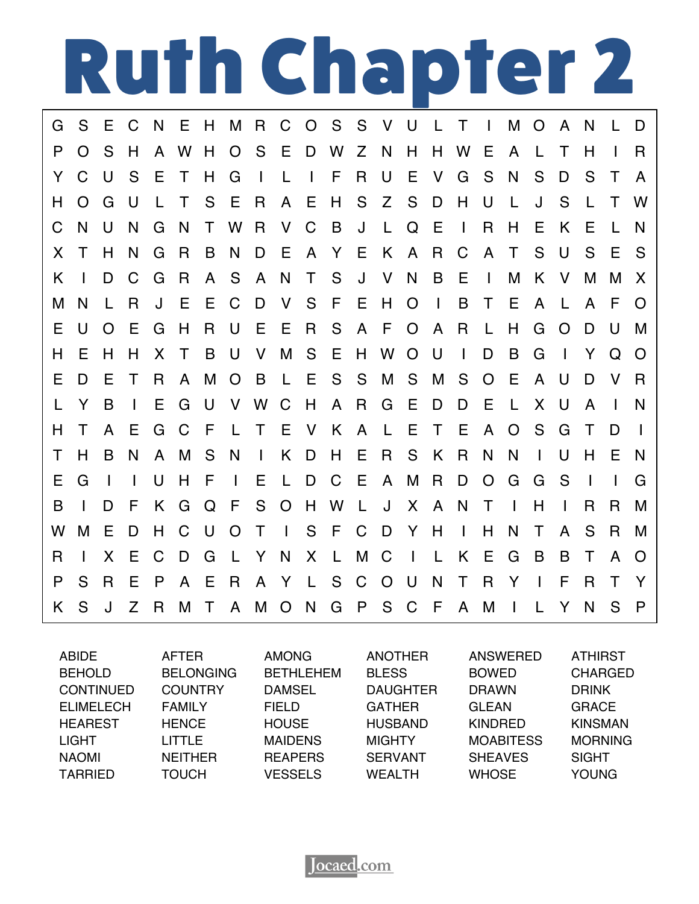

| G  | S            | Е              | C            | N            | E            | H           |                |                |              |              | M R C O S S V U |      |             |              | L T            |               | $\mathbf{1}$   | М              | $\overline{O}$ | A              | <sup>N</sup>   | $\mathbf{L}$ | D              |
|----|--------------|----------------|--------------|--------------|--------------|-------------|----------------|----------------|--------------|--------------|-----------------|------|-------------|--------------|----------------|---------------|----------------|----------------|----------------|----------------|----------------|--------------|----------------|
| P  | $\Omega$     | S              | H            | $\mathsf{A}$ | W H          |             |                | O S E D W      |              |              |                 | Z    | - N         | H            | H.             | W E           |                | $\mathsf{A}$   | $\perp$        | $\top$         | H              | $\mathbf{I}$ | R              |
| Y  | C            | U              | S            | E            | $\top$       | H           | G              | $\Box$         | $\mathsf{L}$ |              | $\Box$ F        | R.   | U           | E            | V              | G             | S              | N              | S              | D              | S              | $\top$       | $\mathsf{A}$   |
| н  | O            | G              | U            | L.           | $\top$       | S           | E              | <b>R</b>       |              | A E          | H               | S    |             | Z S          | D              | H             | U              | L              | J              | S              | $\mathbf{L}$   | $\top$       | W              |
| C  | N            | U              | N            | G            | N            | T.          |                | W R V C        |              |              | B               | J    | L.          | $\mathsf Q$  | E              | $\mathbf{L}$  | $\mathsf{R}$   | H              | E.             | K              | Е              |              | N              |
| X. | T.           | H              | N            | G            | R            | B           | N              | D              | - E          | $\mathsf{A}$ | Y E             |      | K A         |              | $\mathsf R$    | $\mathbf C$   | $\mathsf{A}$   | $\top$         | S              | U.             | S              | E.           | - S            |
| K  |              | D              | C            | G            | R            |             | A S            | A N            |              | $\top$       |                 |      | S J V N     |              | B              | - E           | $\blacksquare$ | M              | K              | V              | M              | M            | $\mathsf{X}$   |
| M  | N            | L              | R            | J            | Е            | E.          | C              | D              | V            |              | S F             | - E  | H O         |              | $\blacksquare$ | B             | $\top$         | Е              | $\mathsf{A}$   | $\perp$        | $\mathsf{A}$   | F            | $\Omega$       |
| Е  | U            | $\overline{O}$ | E            | G            | H            | $\mathsf R$ |                | U E            | - E          | <b>R</b>     | S.              |      | A F O A     |              |                | R.            | L              | H              | G              | $\overline{O}$ | D              | U            | м              |
| н  | Е            | H              | H            | X.           | $\top$       | B           | - U            | $\mathsf{V}$   |              | M S          | - E             |      | H W O U     |              |                | $\mathbf{1}$  | D              | B              | G              | $\Box$         | Y              | Q            | - 0            |
| Е  | D            | Е              | $\top$       | R.           | $\mathsf{A}$ | M           | $\overline{O}$ | $\overline{B}$ | L E          |              |                 | S S  | M           | S.           | M              | - S           | $\circ$        | E              | $\mathsf{A}$   | U              | D              | <b>V</b>     | - R            |
|    | Y            | B              | $\mathbf{L}$ | E            | G            | U           |                | V W C          |              | H            |                 | A R  | G           | E.           | D              | D             | Е              | L.             | X              | U              | A              | $\mathbf{I}$ | N              |
| н  | Τ            | $\mathsf{A}$   | Е            | G            | C            | - F         |                | L T E V K      |              |              |                 |      | A L         | Е            | $\top$         | - E           | $\mathsf{A}$   | $\overline{O}$ | S              | G              | T              | D            | $\blacksquare$ |
| Τ  | H            | B              | N            | $\mathsf{A}$ | M            | S           | N              | $\mathbb{R}$   | K            | D            | H.              | - E  | $\mathsf R$ |              | S K            | R.            | N              | N              | $\mathbf{L}$   | U              | H              | Е            | -N             |
| Е  | G            | $\blacksquare$ | $\mathbf{I}$ | U            | H            | -F          | $\mathbf{I}$   | E              |              | L D          | C               | $-E$ | A,          | M            | <b>R</b>       | D             | $\overline{O}$ | G              | G              | S              | $\blacksquare$ | $\mathbf{I}$ | G              |
| B  |              | D              | F            | K            | G            | Q           | E.             | S.             |              | O H          | W               | - L  | U J         | $\mathsf{X}$ | A              | N             | $\top$         | $\mathbf{I}$   | H              | $\mathbf{I}$   | R              | R            | м              |
| W  | M            | Е              | D            | H            | C.           | - U         | $\overline{O}$ | $\top$         | $\mathbf{1}$ |              | S F C           |      | D Y H       |              |                | $\mathbf{I}$  | H              | N              | Τ              | A              | S              | R            | M              |
| R  | $\mathbf{I}$ | X              | Е            | C            | D            | G           |                | L Y N          |              |              | X L             | M C  |             | $\Box$       |                | K E           |                | G              | B              | B              | $\top$         | $\mathsf{A}$ | $\Omega$       |
| P  | S            | R              | Е            | P            | $\mathsf{A}$ | E           | R              |                |              |              | A Y L S C       |      | O U         |              | N              | $\top$        | R Y            |                | $\Box$         | F              | R.             | $\top$       | $\mathsf{Y}$   |
| K. | S            | J              | Z            | R            |              |             | M T A M O N    |                |              |              |                 |      |             |              |                | G P S C F A M |                | $\blacksquare$ |                | Y              | N              | S.           | $\mathsf{P}$   |
|    |              |                |              |              |              |             |                |                |              |              |                 |      |             |              |                |               |                |                |                |                |                |              |                |

| <b>ABIDE</b>     | <b>AFTER</b>     | <b>AMONG</b>     | <b>ANOTHER</b>  | <b>ANSWERED</b>  | <b>ATHIRST</b> |
|------------------|------------------|------------------|-----------------|------------------|----------------|
| <b>BEHOLD</b>    | <b>BELONGING</b> | <b>BETHLEHEM</b> | <b>BLESS</b>    | <b>BOWED</b>     | <b>CHARGED</b> |
| <b>CONTINUED</b> | <b>COUNTRY</b>   | <b>DAMSEL</b>    | <b>DAUGHTER</b> | <b>DRAWN</b>     | <b>DRINK</b>   |
| <b>ELIMELECH</b> | <b>FAMILY</b>    | <b>FIELD</b>     | <b>GATHER</b>   | <b>GLEAN</b>     | <b>GRACE</b>   |
| <b>HEAREST</b>   | <b>HENCE</b>     | <b>HOUSE</b>     | <b>HUSBAND</b>  | <b>KINDRED</b>   | <b>KINSMAN</b> |
| LIGHT            | <b>LITTLE</b>    | <b>MAIDENS</b>   | <b>MIGHTY</b>   | <b>MOABITESS</b> | <b>MORNING</b> |
| <b>NAOMI</b>     | <b>NEITHER</b>   | <b>REAPERS</b>   | <b>SERVANT</b>  | <b>SHEAVES</b>   | <b>SIGHT</b>   |
| <b>TARRIED</b>   | TOUCH            | <b>VESSELS</b>   | <b>WEALTH</b>   | <b>WHOSE</b>     | <b>YOUNG</b>   |

**Tocaed.com**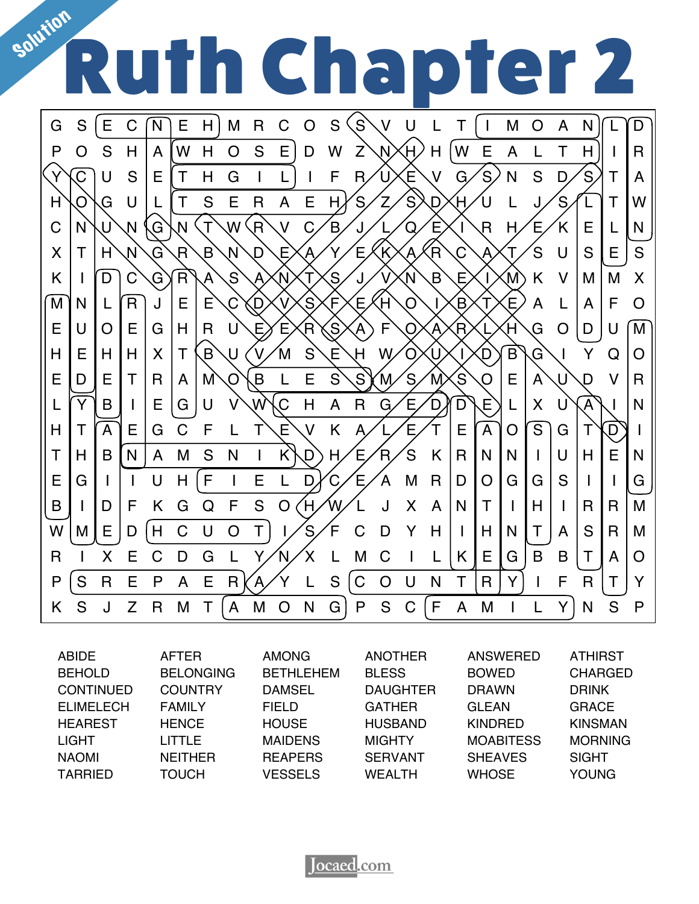

| <b>ABIDE</b>     | <b>AFTER</b>     | <b>AMONG</b>     | <b>ANOTHER</b>  | ANSWERED         | <b>ATHIRST</b> |
|------------------|------------------|------------------|-----------------|------------------|----------------|
| <b>BEHOLD</b>    | <b>BELONGING</b> | <b>BETHLEHEM</b> | <b>BLESS</b>    | <b>BOWED</b>     | <b>CHARGED</b> |
| <b>CONTINUED</b> | <b>COUNTRY</b>   | <b>DAMSEL</b>    | <b>DAUGHTER</b> | <b>DRAWN</b>     | <b>DRINK</b>   |
| <b>ELIMELECH</b> | <b>FAMILY</b>    | <b>FIELD</b>     | <b>GATHER</b>   | <b>GLEAN</b>     | <b>GRACE</b>   |
| <b>HEAREST</b>   | <b>HENCE</b>     | <b>HOUSE</b>     | <b>HUSBAND</b>  | <b>KINDRED</b>   | <b>KINSMAN</b> |
| <b>LIGHT</b>     | <b>LITTLE</b>    | <b>MAIDENS</b>   | <b>MIGHTY</b>   | <b>MOABITESS</b> | <b>MORNING</b> |
| <b>NAOMI</b>     | <b>NEITHER</b>   | <b>REAPERS</b>   | <b>SERVANT</b>  | <b>SHEAVES</b>   | <b>SIGHT</b>   |
| <b>TARRIED</b>   | <b>TOUCH</b>     | <b>VESSELS</b>   | <b>WEALTH</b>   | <b>WHOSE</b>     | <b>YOUNG</b>   |

Jocaed.com